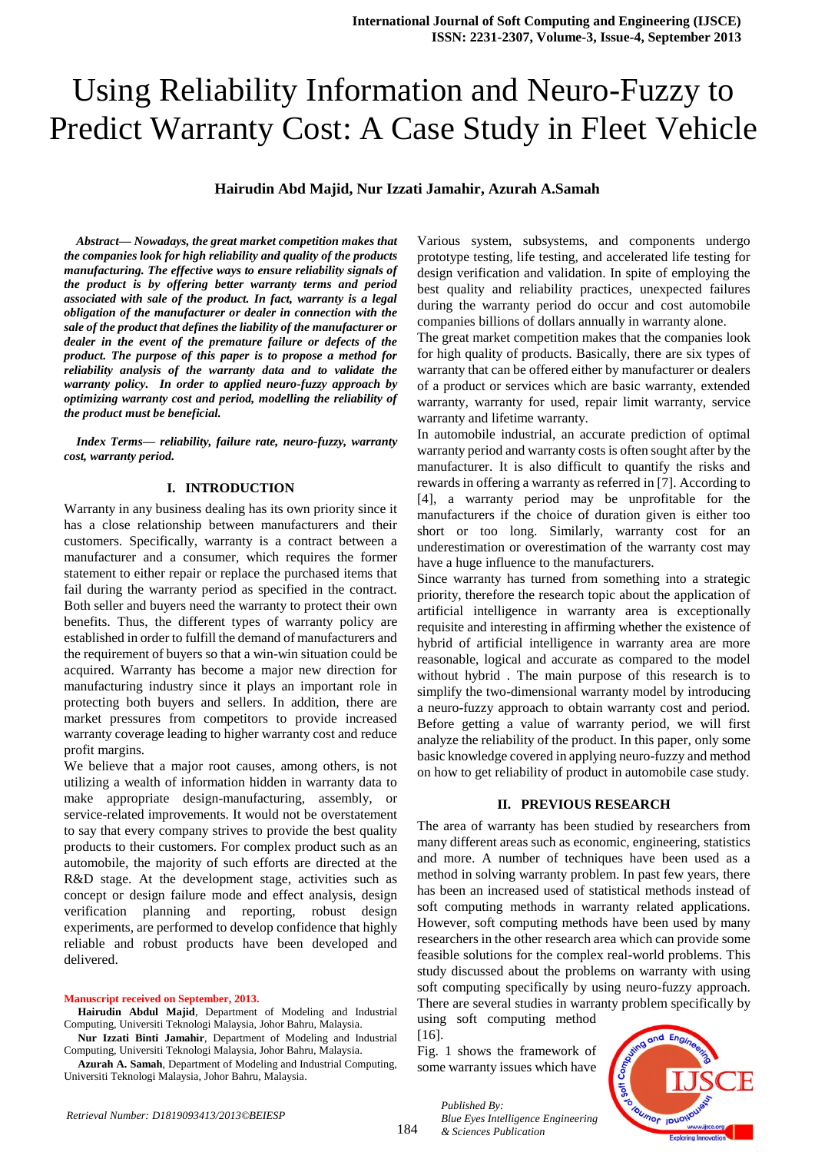# Using Reliability Information and Neuro-Fuzzy to Predict Warranty Cost: A Case Study in Fleet Vehicle

## **Hairudin Abd Majid, Nur Izzati Jamahir, Azurah A.Samah**

*Abstract***—** *Nowadays, the great market competition makes that the companies look for high reliability and quality of the products manufacturing. The effective ways to ensure reliability signals of the product is by offering better warranty terms and period associated with sale of the product. In fact, warranty is a legal obligation of the manufacturer or dealer in connection with the sale of the product that defines the liability of the manufacturer or dealer in the event of the premature failure or defects of the product. The purpose of this paper is to propose a method for reliability analysis of the warranty data and to validate the warranty policy. In order to applied neuro-fuzzy approach by optimizing warranty cost and period, modelling the reliability of the product must be beneficial.*

*Index Terms***—** *reliability, failure rate, neuro-fuzzy, warranty cost, warranty period.*

## **I. INTRODUCTION**

Warranty in any business dealing has its own priority since it has a close relationship between manufacturers and their customers. Specifically, warranty is a contract between a manufacturer and a consumer, which requires the former statement to either repair or replace the purchased items that fail during the warranty period as specified in the contract. Both seller and buyers need the warranty to protect their own benefits. Thus, the different types of warranty policy are established in order to fulfill the demand of manufacturers and the requirement of buyers so that a win-win situation could be acquired. Warranty has become a major new direction for manufacturing industry since it plays an important role in protecting both buyers and sellers. In addition, there are market pressures from competitors to provide increased warranty coverage leading to higher warranty cost and reduce profit margins.

We believe that a major root causes, among others, is not utilizing a wealth of information hidden in warranty data to make appropriate design-manufacturing, assembly, or service-related improvements. It would not be overstatement to say that every company strives to provide the best quality products to their customers. For complex product such as an automobile, the majority of such efforts are directed at the R&D stage. At the development stage, activities such as concept or design failure mode and effect analysis, design verification planning and reporting, robust design experiments, are performed to develop confidence that highly reliable and robust products have been developed and delivered.

#### **Manuscript received on September, 2013.**

**Hairudin Abdul Majid**, Department of Modeling and Industrial Computing, Universiti Teknologi Malaysia, Johor Bahru, Malaysia.

**Nur Izzati Binti Jamahir**, Department of Modeling and Industrial Computing, Universiti Teknologi Malaysia, Johor Bahru, Malaysia.

**Azurah A. Samah**, Department of Modeling and Industrial Computing, Universiti Teknologi Malaysia, Johor Bahru, Malaysia.

Various system, subsystems, and components undergo prototype testing, life testing, and accelerated life testing for design verification and validation. In spite of employing the best quality and reliability practices, unexpected failures during the warranty period do occur and cost automobile companies billions of dollars annually in warranty alone.

The great market competition makes that the companies look for high quality of products. Basically, there are six types of warranty that can be offered either by manufacturer or dealers of a product or services which are basic warranty, extended warranty, warranty for used, repair limit warranty, service warranty and lifetime warranty.

In automobile industrial, an accurate prediction of optimal warranty period and warranty costs is often sought after by the manufacturer. It is also difficult to quantify the risks and rewards in offering a warranty as referred in [7]. According to [4], a warranty period may be unprofitable for the manufacturers if the choice of duration given is either too short or too long. Similarly, warranty cost for an underestimation or overestimation of the warranty cost may have a huge influence to the manufacturers.

Since warranty has turned from something into a strategic priority, therefore the research topic about the application of artificial intelligence in warranty area is exceptionally requisite and interesting in affirming whether the existence of hybrid of artificial intelligence in warranty area are more reasonable, logical and accurate as compared to the model without hybrid . The main purpose of this research is to simplify the two-dimensional warranty model by introducing a neuro-fuzzy approach to obtain warranty cost and period. Before getting a value of warranty period, we will first analyze the reliability of the product. In this paper, only some basic knowledge covered in applying neuro-fuzzy and method on how to get reliability of product in automobile case study.

### **II. PREVIOUS RESEARCH**

The area of warranty has been studied by researchers from many different areas such as economic, engineering, statistics and more. A number of techniques have been used as a method in solving warranty problem. In past few years, there has been an increased used of statistical methods instead of soft computing methods in warranty related applications. However, soft computing methods have been used by many researchers in the other research area which can provide some feasible solutions for the complex real-world problems. This study discussed about the problems on warranty with using soft computing specifically by using neuro-fuzzy approach. There are several studies in warranty problem specifically by

using soft computing method [16]. Fig. 1 shows the framework of

some warranty issues which have

*Blue Eyes Intelligence Engineering* 

*Published By:*

*& Sciences Publication* 

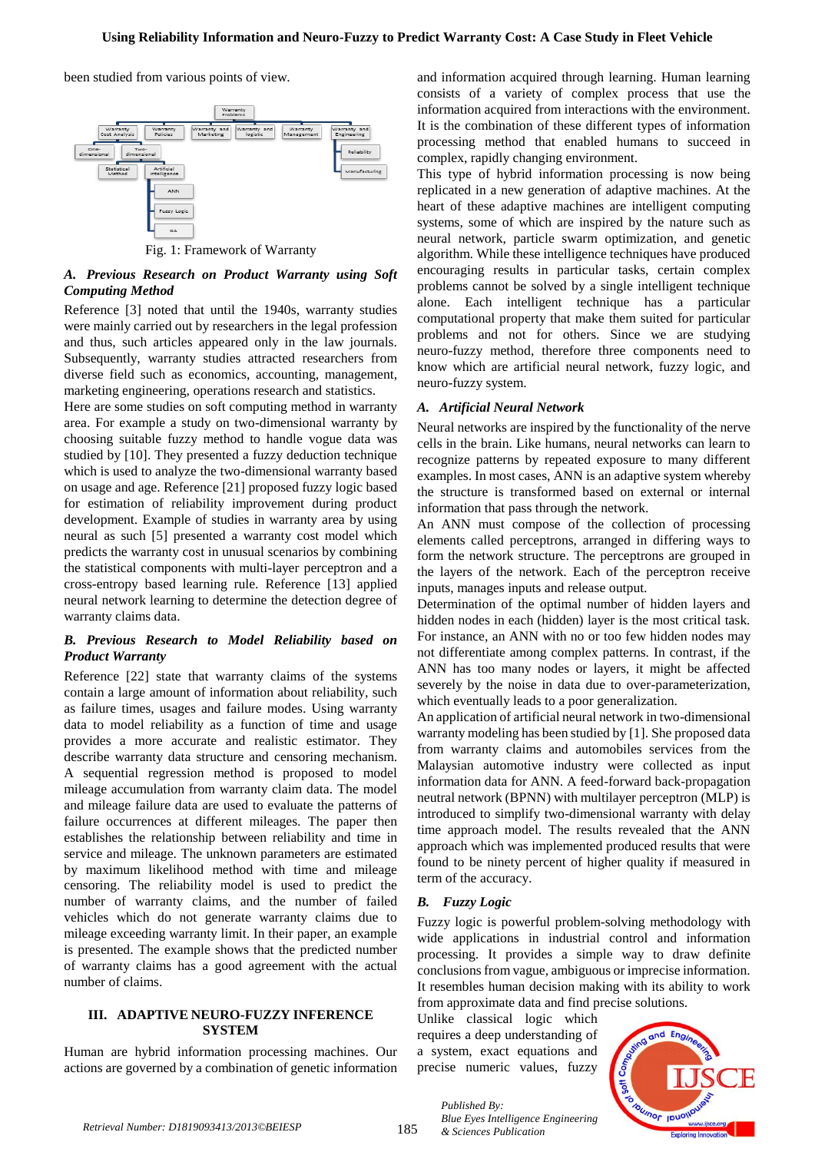been studied from various points of view.



Fig. 1: Framework of Warranty

# *A. Previous Research on Product Warranty using Soft Computing Method*

Reference [3] noted that until the 1940s, warranty studies were mainly carried out by researchers in the legal profession and thus, such articles appeared only in the law journals. Subsequently, warranty studies attracted researchers from diverse field such as economics, accounting, management, marketing engineering, operations research and statistics.

Here are some studies on soft computing method in warranty area. For example a study on two-dimensional warranty by choosing suitable fuzzy method to handle vogue data was studied by [10]. They presented a fuzzy deduction technique which is used to analyze the two-dimensional warranty based on usage and age. Reference [21] proposed fuzzy logic based for estimation of reliability improvement during product development. Example of studies in warranty area by using neural as such [5] presented a warranty cost model which predicts the warranty cost in unusual scenarios by combining the statistical components with multi-layer perceptron and a cross-entropy based learning rule. Reference [13] applied neural network learning to determine the detection degree of warranty claims data.

# *B. Previous Research to Model Reliability based on Product Warranty*

Reference [22] state that warranty claims of the systems contain a large amount of information about reliability, such as failure times, usages and failure modes. Using warranty data to model reliability as a function of time and usage provides a more accurate and realistic estimator. They describe warranty data structure and censoring mechanism. A sequential regression method is proposed to model mileage accumulation from warranty claim data. The model and mileage failure data are used to evaluate the patterns of failure occurrences at different mileages. The paper then establishes the relationship between reliability and time in service and mileage. The unknown parameters are estimated by maximum likelihood method with time and mileage censoring. The reliability model is used to predict the number of warranty claims, and the number of failed vehicles which do not generate warranty claims due to mileage exceeding warranty limit. In their paper, an example is presented. The example shows that the predicted number of warranty claims has a good agreement with the actual number of claims.

## **III. ADAPTIVE NEURO-FUZZY INFERENCE SYSTEM**

Human are hybrid information processing machines. Our actions are governed by a combination of genetic information and information acquired through learning. Human learning consists of a variety of complex process that use the information acquired from interactions with the environment. It is the combination of these different types of information processing method that enabled humans to succeed in complex, rapidly changing environment.

This type of hybrid information processing is now being replicated in a new generation of adaptive machines. At the heart of these adaptive machines are intelligent computing systems, some of which are inspired by the nature such as neural network, particle swarm optimization, and genetic algorithm. While these intelligence techniques have produced encouraging results in particular tasks, certain complex problems cannot be solved by a single intelligent technique alone. Each intelligent technique has a particular computational property that make them suited for particular problems and not for others. Since we are studying neuro-fuzzy method, therefore three components need to know which are artificial neural network, fuzzy logic, and neuro-fuzzy system.

# *A. Artificial Neural Network*

Neural networks are inspired by the functionality of the nerve cells in the brain. Like humans, neural networks can learn to recognize patterns by repeated exposure to many different examples. In most cases, ANN is an adaptive system whereby the structure is transformed based on external or internal information that pass through the network.

An ANN must compose of the collection of processing elements called perceptrons, arranged in differing ways to form the network structure. The perceptrons are grouped in the layers of the network. Each of the perceptron receive inputs, manages inputs and release output.

Determination of the optimal number of hidden layers and hidden nodes in each (hidden) layer is the most critical task. For instance, an ANN with no or too few hidden nodes may not differentiate among complex patterns. In contrast, if the ANN has too many nodes or layers, it might be affected severely by the noise in data due to over-parameterization, which eventually leads to a poor generalization.

An application of artificial neural network in two-dimensional warranty modeling has been studied by [1]. She proposed data from warranty claims and automobiles services from the Malaysian automotive industry were collected as input information data for ANN. A feed-forward back-propagation neutral network (BPNN) with multilayer perceptron (MLP) is introduced to simplify two-dimensional warranty with delay time approach model. The results revealed that the ANN approach which was implemented produced results that were found to be ninety percent of higher quality if measured in term of the accuracy.

# *B. Fuzzy Logic*

*Published By:*

Fuzzy logic is powerful problem-solving methodology with wide applications in industrial control and information processing. It provides a simple way to draw definite conclusions from vague, ambiguous or imprecise information. It resembles human decision making with its ability to work from approximate data and find precise solutions.

Unlike classical logic which requires a deep understanding of a system, exact equations and precise numeric values, fuzzy

*Blue Eyes Intelligence Engineering* 

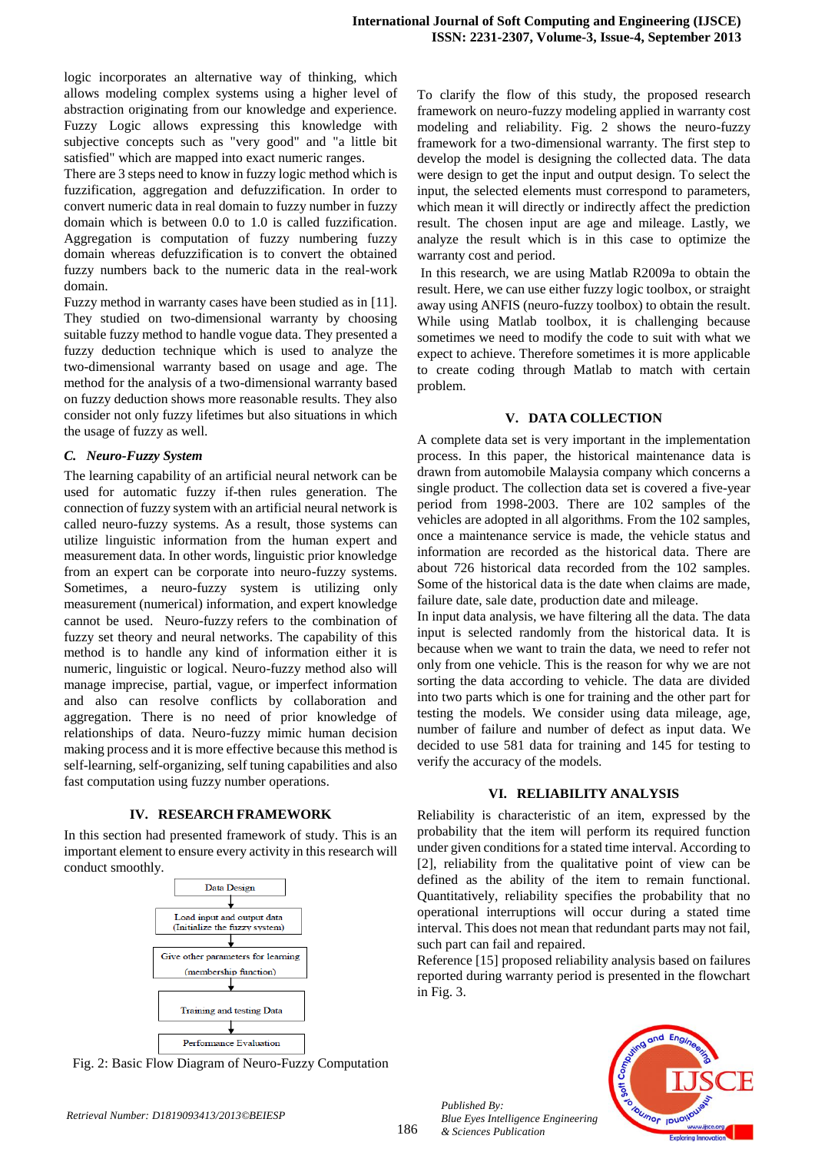logic incorporates an alternative way of thinking, which allows modeling complex systems using a higher level of abstraction originating from our knowledge and experience. Fuzzy Logic allows expressing this knowledge with subjective concepts such as "very good" and "a little bit satisfied" which are mapped into exact numeric ranges.

There are 3 steps need to know in fuzzy logic method which is fuzzification, aggregation and defuzzification. In order to convert numeric data in real domain to fuzzy number in fuzzy domain which is between 0.0 to 1.0 is called fuzzification. Aggregation is computation of fuzzy numbering fuzzy domain whereas defuzzification is to convert the obtained fuzzy numbers back to the numeric data in the real-work domain.

Fuzzy method in warranty cases have been studied as in [11]. They studied on two-dimensional warranty by choosing suitable fuzzy method to handle vogue data. They presented a fuzzy deduction technique which is used to analyze the two-dimensional warranty based on usage and age. The method for the analysis of a two-dimensional warranty based on fuzzy deduction shows more reasonable results. They also consider not only fuzzy lifetimes but also situations in which the usage of fuzzy as well.

## *C. Neuro-Fuzzy System*

The learning capability of an artificial neural network can be used for automatic fuzzy if-then rules generation. The connection of fuzzy system with an artificial neural network is called neuro-fuzzy systems. As a result, those systems can utilize linguistic information from the human expert and measurement data. In other words, linguistic prior knowledge from an expert can be corporate into neuro-fuzzy systems. Sometimes, a neuro-fuzzy system is utilizing only measurement (numerical) information, and expert knowledge cannot be used. Neuro-fuzzy refers to the combination of fuzzy set theory and neural networks. The capability of this method is to handle any kind of information either it is numeric, linguistic or logical. Neuro-fuzzy method also will manage imprecise, partial, vague, or imperfect information and also can resolve conflicts by collaboration and aggregation. There is no need of prior knowledge of relationships of data. Neuro-fuzzy mimic human decision making process and it is more effective because this method is self-learning, self-organizing, self tuning capabilities and also fast computation using fuzzy number operations.

# **IV. RESEARCH FRAMEWORK**

In this section had presented framework of study. This is an important element to ensure every activity in this research will conduct smoothly.



Fig. 2: Basic Flow Diagram of Neuro-Fuzzy Computation

To clarify the flow of this study, the proposed research framework on neuro-fuzzy modeling applied in warranty cost modeling and reliability. Fig. 2 shows the neuro-fuzzy framework for a two-dimensional warranty. The first step to develop the model is designing the collected data. The data were design to get the input and output design. To select the input, the selected elements must correspond to parameters, which mean it will directly or indirectly affect the prediction result. The chosen input are age and mileage. Lastly, we analyze the result which is in this case to optimize the warranty cost and period.

In this research, we are using Matlab R2009a to obtain the result. Here, we can use either fuzzy logic toolbox, or straight away using ANFIS (neuro-fuzzy toolbox) to obtain the result. While using Matlab toolbox, it is challenging because sometimes we need to modify the code to suit with what we expect to achieve. Therefore sometimes it is more applicable to create coding through Matlab to match with certain problem.

# **V. DATA COLLECTION**

A complete data set is very important in the implementation process. In this paper, the historical maintenance data is drawn from automobile Malaysia company which concerns a single product. The collection data set is covered a five-year period from 1998-2003. There are 102 samples of the vehicles are adopted in all algorithms. From the 102 samples, once a maintenance service is made, the vehicle status and information are recorded as the historical data. There are about 726 historical data recorded from the 102 samples. Some of the historical data is the date when claims are made, failure date, sale date, production date and mileage.

In input data analysis, we have filtering all the data. The data input is selected randomly from the historical data. It is because when we want to train the data, we need to refer not only from one vehicle. This is the reason for why we are not sorting the data according to vehicle. The data are divided into two parts which is one for training and the other part for testing the models. We consider using data mileage, age, number of failure and number of defect as input data. We decided to use 581 data for training and 145 for testing to verify the accuracy of the models.

# **VI. RELIABILITY ANALYSIS**

Reliability is characteristic of an item, expressed by the probability that the item will perform its required function under given conditions for a stated time interval. According to [2], reliability from the qualitative point of view can be defined as the ability of the item to remain functional. Quantitatively, reliability specifies the probability that no operational interruptions will occur during a stated time interval. This does not mean that redundant parts may not fail, such part can fail and repaired.

Reference [15] proposed reliability analysis based on failures reported during warranty period is presented in the flowchart in Fig. 3.



*Published By: Blue Eyes Intelligence Engineering & Sciences Publication*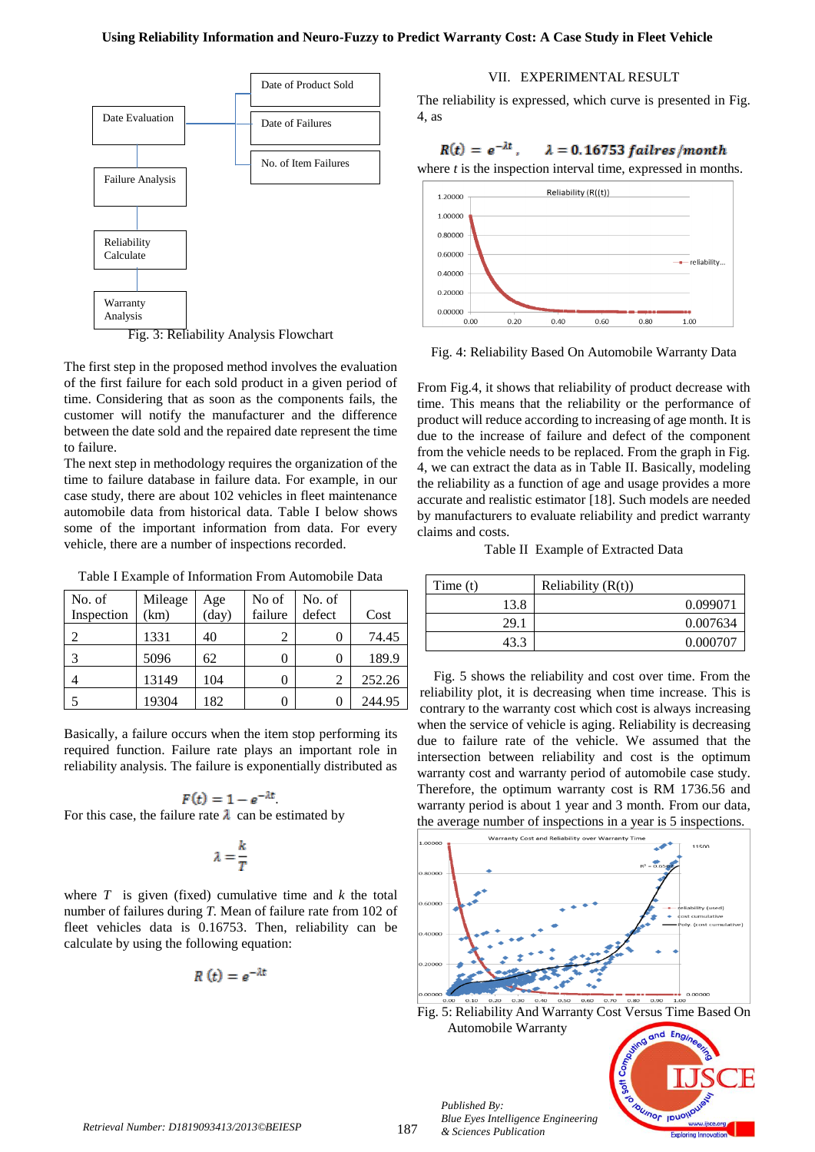

Fig. 3: Reliability Analysis Flowchart

The first step in the proposed method involves the evaluation of the first failure for each sold product in a given period of time. Considering that as soon as the components fails, the customer will notify the manufacturer and the difference between the date sold and the repaired date represent the time to failure.

The next step in methodology requires the organization of the time to failure database in failure data. For example, in our case study, there are about 102 vehicles in fleet maintenance automobile data from historical data. Table I below shows some of the important information from data. For every vehicle, there are a number of inspections recorded.

| No. of<br>Inspection | Mileage<br>(km) | Age<br>(day) | No of<br>failure | No. of<br>defect  | Cost   |
|----------------------|-----------------|--------------|------------------|-------------------|--------|
|                      | 1331            | 40           |                  |                   | 74.45  |
|                      | 5096            | 62           |                  | $\mathbf{\Omega}$ | 189.9  |
|                      | 13149           | 104          | 0                | 2                 | 252.26 |
|                      | 19304           | 182          |                  |                   | 244.95 |

Table I Example of Information From Automobile Data

Basically, a failure occurs when the item stop performing its required function. Failure rate plays an important role in reliability analysis. The failure is exponentially distributed as

$$
F(t) = 1 - e^{-\lambda t}
$$

For this case, the failure rate  $\lambda$  can be estimated by

$$
\lambda = \frac{k}{T}
$$

where  $T$  is given (fixed) cumulative time and  $k$  the total number of failures during *T.* Mean of failure rate from 102 of fleet vehicles data is 0.16753. Then, reliability can be calculate by using the following equation:

$$
R(t) = e^{-\lambda t}
$$

## VII. EXPERIMENTAL RESULT

The reliability is expressed, which curve is presented in Fig. 4, as



where *t* is the inspection interval time, expressed in months.



Fig. 4: Reliability Based On Automobile Warranty Data

From Fig.4, it shows that reliability of product decrease with time. This means that the reliability or the performance of product will reduce according to increasing of age month. It is due to the increase of failure and defect of the component from the vehicle needs to be replaced. From the graph in Fig. 4, we can extract the data as in Table II. Basically, modeling the reliability as a function of age and usage provides a more accurate and realistic estimator [18]. Such models are needed by manufacturers to evaluate reliability and predict warranty claims and costs.

Table II Example of Extracted Data

| Time(t) | Reliability $(R(t))$ |          |
|---------|----------------------|----------|
| 13.8    |                      | 0.099071 |
| 29.1    |                      | 0.007634 |
| 43.3    |                      | 0.000707 |

Fig. 5 shows the reliability and cost over time. From the reliability plot, it is decreasing when time increase. This is contrary to the warranty cost which cost is always increasing when the service of vehicle is aging. Reliability is decreasing due to failure rate of the vehicle. We assumed that the intersection between reliability and cost is the optimum warranty cost and warranty period of automobile case study. Therefore, the optimum warranty cost is RM 1736.56 and warranty period is about 1 year and 3 month. From our data, the average number of inspections in a year is 5 inspections.



Fig. 5: Reliability And Warranty Cost Versus Time Based On Automobile Warranty



*Published By:*

*Blue Eyes Intelligence Engineering*